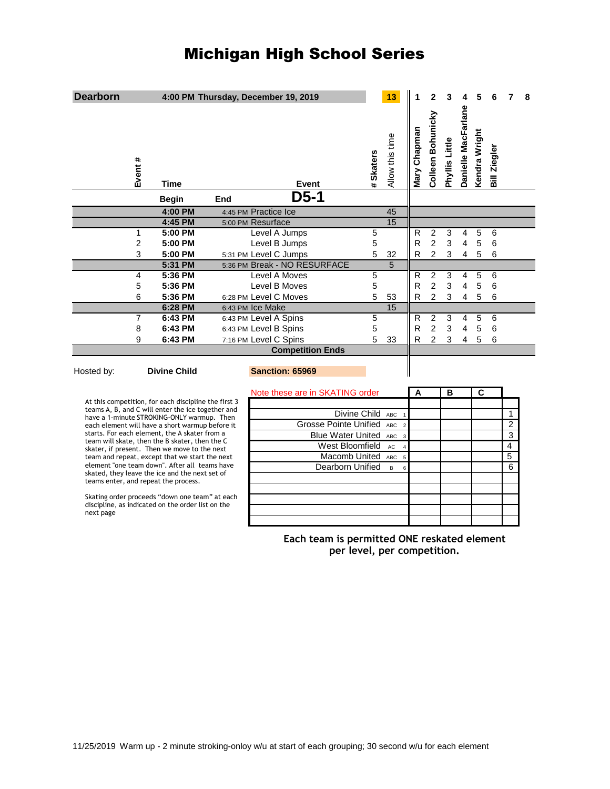## Michigan High School Series

| <b>Dearborn</b>                                                                                                                                                                                                                                    |                |                     |     | 4:00 PM Thursday, December 19, 2019                   |                  | 13              |              | 2                 | 3              |                         | 5             |              |                | 8 |
|----------------------------------------------------------------------------------------------------------------------------------------------------------------------------------------------------------------------------------------------------|----------------|---------------------|-----|-------------------------------------------------------|------------------|-----------------|--------------|-------------------|----------------|-------------------------|---------------|--------------|----------------|---|
|                                                                                                                                                                                                                                                    | Event #        | <b>Time</b>         |     | Event                                                 | # Skaters        | Allow this time | Mary Chapman | Colleen Bohunicky | Phyllis Little | Danielle MacFarlane     | Kendra Wright | Bill Ziegler |                |   |
|                                                                                                                                                                                                                                                    |                | <b>Begin</b>        | End | $D5-1$                                                |                  |                 |              |                   |                |                         |               |              |                |   |
|                                                                                                                                                                                                                                                    |                | 4:00 PM             |     | 4:45 PM Practice Ice                                  |                  | 45              |              |                   |                |                         |               |              |                |   |
|                                                                                                                                                                                                                                                    |                | 4:45 PM             |     | 5:00 PM Resurface                                     |                  | 15              |              |                   |                |                         |               |              |                |   |
|                                                                                                                                                                                                                                                    | 1              | 5:00 PM             |     | Level A Jumps                                         | 5                |                 | $\mathsf{R}$ | $\boldsymbol{2}$  | 3              | 4                       | 5             | 6            |                |   |
|                                                                                                                                                                                                                                                    | $\overline{2}$ | 5:00 PM             |     | Level B Jumps                                         | 5                |                 | $\mathsf{R}$ | $\overline{2}$    | 3              | $\overline{4}$          | 5             | 6            |                |   |
|                                                                                                                                                                                                                                                    | 3              | 5:00 PM             |     | 5:31 PM Level C Jumps                                 | 5                | 32              | R            | $\overline{2}$    | 3              | $\overline{4}$          | 5             | 6            |                |   |
|                                                                                                                                                                                                                                                    |                | 5:31 PM             |     | 5:36 PM Break - NO RESURFACE                          |                  | $\overline{5}$  |              |                   |                |                         |               |              |                |   |
|                                                                                                                                                                                                                                                    | 4              | 5:36 PM             |     | Level A Moves                                         | $\overline{5}$   |                 | R            | 2                 | 3              | $\overline{4}$          | 5             | 6            |                |   |
|                                                                                                                                                                                                                                                    | 5              | 5:36 PM             |     | Level B Moves                                         | 5                |                 | R            | $\overline{c}$    | 3              | 4                       | 5             | 6            |                |   |
|                                                                                                                                                                                                                                                    | 6              | 5:36 PM             |     | 6:28 PM Level C Moves                                 | 5                | 53              | R            | $\overline{2}$    | 3              | $\overline{\mathbf{4}}$ | 5             | 6            |                |   |
|                                                                                                                                                                                                                                                    |                | 6:28 PM             |     | 6:43 PM Ice Make                                      |                  | 15              |              |                   |                |                         |               |              |                |   |
|                                                                                                                                                                                                                                                    | 7              | 6:43 PM             |     | 6:43 PM Level A Spins                                 | 5                |                 | R            | $\overline{c}$    | 3              | 4                       | 5             | 6            |                |   |
|                                                                                                                                                                                                                                                    | 8              | 6:43 PM             |     | 6:43 PM Level B Spins                                 | 5                |                 | R            | $\overline{2}$    | 3              | $\overline{\mathbf{4}}$ | 5             | 6            |                |   |
|                                                                                                                                                                                                                                                    | 9              | 6:43 PM             |     | 7:16 PM Level C Spins                                 | 5                | 33              | R            | $\overline{2}$    | 3              | $\overline{4}$          | 5             | 6            |                |   |
|                                                                                                                                                                                                                                                    |                |                     |     | <b>Competition Ends</b>                               |                  |                 |              |                   |                |                         |               |              |                |   |
| Hosted by:                                                                                                                                                                                                                                         |                | <b>Divine Child</b> |     | <b>Sanction: 65969</b>                                |                  |                 |              |                   |                |                         |               |              |                |   |
| Note these are in SKATING order                                                                                                                                                                                                                    |                |                     |     |                                                       |                  | A               |              | B                 |                | $\overline{\mathbf{c}}$ |               |              |                |   |
| At this competition, for each discipline the first 3                                                                                                                                                                                               |                |                     |     |                                                       |                  |                 |              |                   |                |                         |               |              |                |   |
| teams A, B, and C will enter the ice together and<br>have a 1-minute STROKING-ONLY warmup. Then                                                                                                                                                    |                |                     |     |                                                       | Divine Child     | ABC             |              |                   |                |                         |               |              | 1              |   |
| each element will have a short warmup before it                                                                                                                                                                                                    |                |                     |     | <b>Grosse Pointe Unified</b><br>ABC<br>$\overline{2}$ |                  |                 |              |                   |                |                         |               |              | $\overline{c}$ |   |
| starts. For each element, the A skater from a<br>team will skate, then the B skater, then the C<br>skater, if present. Then we move to the next<br>team and repeat, except that we start the next<br>element "one team down". After all teams have |                |                     |     | <b>Blue Water United</b><br>ABC<br>$\overline{3}$     |                  |                 |              |                   |                |                         |               |              | 3              |   |
|                                                                                                                                                                                                                                                    |                |                     |     | West Bloomfield<br>AC<br>$\overline{\mathbf{4}}$      |                  |                 |              |                   |                |                         |               |              | $\overline{4}$ |   |
|                                                                                                                                                                                                                                                    |                |                     |     | Macomb United<br>ABC<br>5                             |                  |                 |              |                   |                |                         |               |              | 5              |   |
|                                                                                                                                                                                                                                                    |                |                     |     |                                                       | Dearborn Unified | B<br>6          |              |                   |                |                         |               |              | 6              |   |
| skated, they leave the ice and the next set of<br>teams enter, and repeat the process.                                                                                                                                                             |                |                     |     |                                                       |                  |                 |              |                   |                |                         |               |              |                |   |
|                                                                                                                                                                                                                                                    |                |                     |     |                                                       |                  |                 |              |                   |                |                         |               |              |                |   |
| Skating order proceeds "down one team" at each<br>discipline, as indicated on the order list on the<br>next page                                                                                                                                   |                |                     |     |                                                       |                  |                 |              |                   |                |                         |               |              |                |   |
|                                                                                                                                                                                                                                                    |                |                     |     |                                                       |                  |                 |              |                   |                |                         |               |              |                |   |

**Each team is permitted ONE reskated element per level, per competition.**